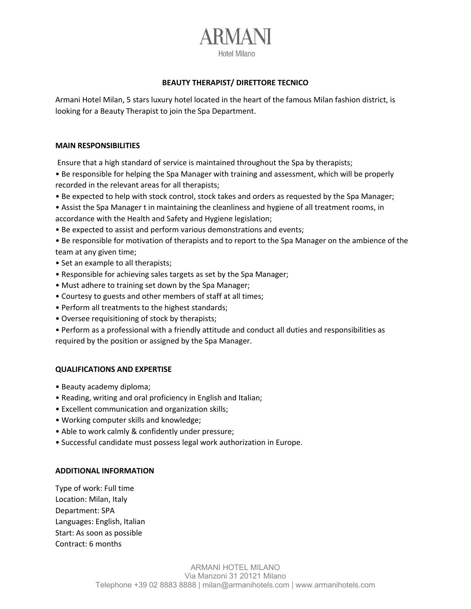# RMANI Hotel Milano

### **BEAUTY THERAPIST/ DIRETTORE TECNICO**

Armani Hotel Milan, 5 stars luxury hotel located in the heart of the famous Milan fashion district, is looking for a Beauty Therapist to join the Spa Department.

#### **MAIN RESPONSIBILITIES**

Ensure that a high standard of service is maintained throughout the Spa by therapists;

• Be responsible for helping the Spa Manager with training and assessment, which will be properly recorded in the relevant areas for all therapists;

- Be expected to help with stock control, stock takes and orders as requested by the Spa Manager;
- Assist the Spa Manager t in maintaining the cleanliness and hygiene of all treatment rooms, in accordance with the Health and Safety and Hygiene legislation;
- Be expected to assist and perform various demonstrations and events;
- Be responsible for motivation of therapists and to report to the Spa Manager on the ambience of the team at any given time;
- Set an example to all therapists;
- Responsible for achieving sales targets as set by the Spa Manager;
- Must adhere to training set down by the Spa Manager;
- Courtesy to guests and other members of staff at all times;
- Perform all treatments to the highest standards;
- Oversee requisitioning of stock by therapists;

• Perform as a professional with a friendly attitude and conduct all duties and responsibilities as required by the position or assigned by the Spa Manager.

## **QUALIFICATIONS AND EXPERTISE**

- Beauty academy diploma;
- Reading, writing and oral proficiency in English and Italian;
- Excellent communication and organization skills;
- Working computer skills and knowledge;
- Able to work calmly & confidently under pressure;
- Successful candidate must possess legal work authorization in Europe.

## **ADDITIONAL INFORMATION**

Type of work: Full time Location: Milan, Italy Department: SPA Languages: English, Italian Start: As soon as possible Contract: 6 months